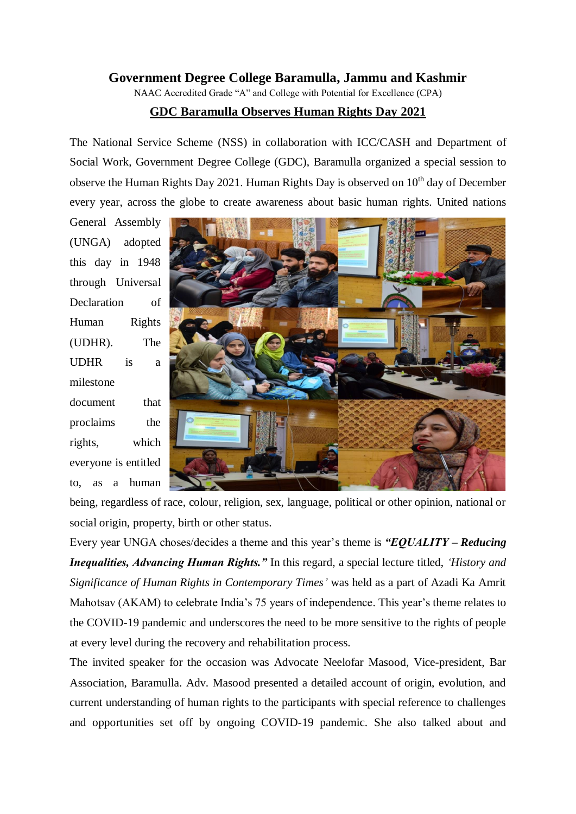## **Government Degree College Baramulla, Jammu and Kashmir**

NAAC Accredited Grade "A" and College with Potential for Excellence (CPA)

## **GDC Baramulla Observes Human Rights Day 2021**

The National Service Scheme (NSS) in collaboration with ICC/CASH and Department of Social Work, Government Degree College (GDC), Baramulla organized a special session to observe the Human Rights Day 2021. Human Rights Day is observed on  $10<sup>th</sup>$  day of December every year, across the globe to create awareness about basic human rights. United nations

General Assembly (UNGA) adopted this day in 1948 through Universal Declaration of Human Rights (UDHR). The UDHR is a milestone document that proclaims the rights, which everyone is entitled to, as a human



being, regardless of race, colour, religion, sex, language, political or other opinion, national or social origin, property, birth or other status.

Every year UNGA choses/decides a theme and this year's theme is *"EQUALITY – Reducing Inequalities, Advancing Human Rights."* In this regard, a special lecture titled, *'History and Significance of Human Rights in Contemporary Times'* was held as a part of Azadi Ka Amrit Mahotsav (AKAM) to celebrate India's 75 years of independence. This year's theme relates to the COVID-19 pandemic and underscores the need to be more sensitive to the rights of people at every level during the recovery and rehabilitation process.

The invited speaker for the occasion was Advocate Neelofar Masood, Vice-president, Bar Association, Baramulla. Adv. Masood presented a detailed account of origin, evolution, and current understanding of human rights to the participants with special reference to challenges and opportunities set off by ongoing COVID-19 pandemic. She also talked about and